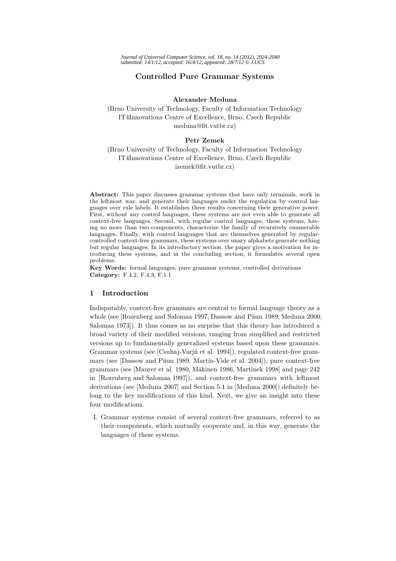# **Controlled Pure Grammar Systems**

**Alexander Meduna**

(Brno University of Technology, Faculty of Information Technology IT4Innovations Centre of Excellence, Brno, Czech Republic meduna@fit.vutbr.cz)

## **Petr Zemek**

(Brno University of Technology, Faculty of Information Technology IT4Innovations Centre of Excellence, Brno, Czech Republic izemek@fit.vutbr.cz)

**Abstract:** This paper discusses grammar systems that have only terminals, work in the leftmost way, and generate their languages under the regulation by control languages over rule labels. It establishes three results concerning their generative power. First, without any control languages, these systems are not even able to generate all context-free languages. Second, with regular control languages, these systems, having no more than two components, characterize the family of recursively enumerable languages. Finally, with control languages that are themselves generated by regularcontrolled context-free grammars, these systems over unary alphabets generate nothing but regular languages. In its introductory section, the paper gives a motivation for introducing these systems, and in the concluding section, it formulates several open problems.

**Key Words:** formal languages, pure grammar systems, controlled derivations **Category:** F.4.2, F.4.3, F.1.1

### **1 Introduction**

Indisputably, context-free grammars are central to formal language theory as a whole (see [Rozenberg and Salomaa 1997, Dassow and Păun 1989, Meduna 2000, Salomaa 1973]). It thus comes as no surprise that this theory has introduced a broad variety of their modified versions, ranging from simplified and restricted versions up to fundamentally generalized systems based upon these grammars. Grammar systems (see [Csuhaj-Varjú et al. 1994]), regulated context-free grammars (see [Dassow and Păun 1989, Martín-Vide et al. 2004]), pure context-free grammars (see [Maurer et al. 1980, Mäkinen 1986, Martinek 1998] and page 242 in [Rozenberg and Salomaa 1997]), and context-free grammars with leftmost derivations (see [Meduna 2007] and Section 5.1 in [Meduna 2000]) definitely belong to the key modifications of this kind. Next, we give an insight into these four modifications.

I. Grammar systems consist of several context-free grammars, referred to as their components, which mutually cooperate and, in this way, generate the languages of these systems.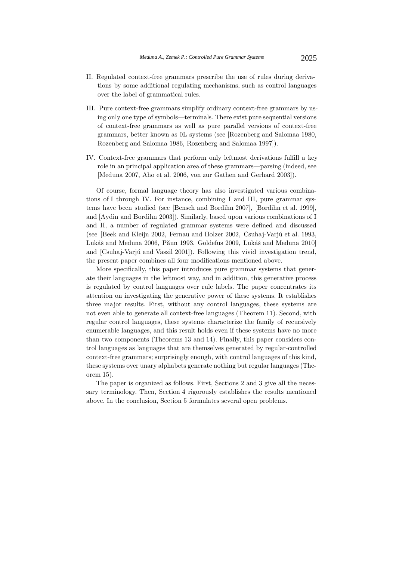- II. Regulated context-free grammars prescribe the use of rules during derivations by some additional regulating mechanisms, such as control languages over the label of grammatical rules.
- III. Pure context-free grammars simplify ordinary context-free grammars by using only one type of symbols—terminals. There exist pure sequential versions of context-free grammars as well as pure parallel versions of context-free grammars, better known as 0L systems (see [Rozenberg and Salomaa 1980, Rozenberg and Salomaa 1986, Rozenberg and Salomaa 1997]).
- IV. Context-free grammars that perform only leftmost derivations fulfill a key role in an principal application area of these grammars—parsing (indeed, see [Meduna 2007, Aho et al. 2006, von zur Gathen and Gerhard 2003]).

Of course, formal language theory has also investigated various combinations of I through IV. For instance, combining I and III, pure grammar systems have been studied (see [Bensch and Bordihn 2007], [Bordihn et al. 1999], and [Aydin and Bordihn 2003]). Similarly, based upon various combinations of I and II, a number of regulated grammar systems were defined and discussed (see [Beek and Kleijn 2002, Fernau and Holzer 2002, Csuhaj-Varjú et al. 1993, Lukáš and Meduna 2006, Păun 1993, Goldefus 2009, Lukáš and Meduna 2010] and [Csuhaj-Varjú and Vaszil 2001]). Following this vivid investigation trend, the present paper combines all four modifications mentioned above.

More specifically, this paper introduces pure grammar systems that generate their languages in the leftmost way, and in addition, this generative process is regulated by control languages over rule labels. The paper concentrates its attention on investigating the generative power of these systems. It establishes three major results. First, without any control languages, these systems are not even able to generate all context-free languages (Theorem 11). Second, with regular control languages, these systems characterize the family of recursively enumerable languages, and this result holds even if these systems have no more than two components (Theorems 13 and 14). Finally, this paper considers control languages as languages that are themselves generated by regular-controlled context-free grammars; surprisingly enough, with control languages of this kind, these systems over unary alphabets generate nothing but regular languages (Theorem 15).

The paper is organized as follows. First, Sections 2 and 3 give all the necessary terminology. Then, Section 4 rigorously establishes the results mentioned above. In the conclusion, Section 5 formulates several open problems.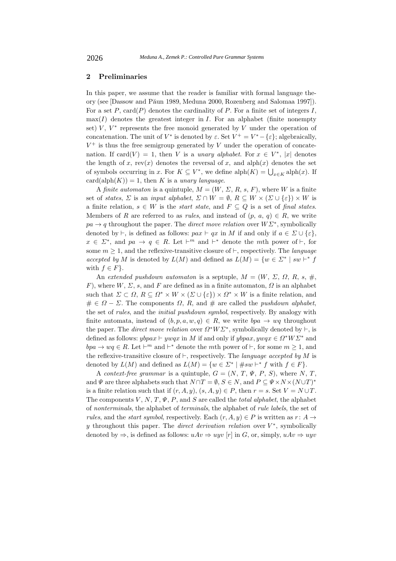## **2 Preliminaries**

In this paper, we assume that the reader is familiar with formal language theory (see [Dassow and Păun 1989, Meduna 2000, Rozenberg and Salomaa 1997]). For a set  $P$ , card $(P)$  denotes the cardinality of  $P$ . For a finite set of integers  $I$ ,  $max(I)$  denotes the greatest integer in I. For an alphabet (finite nonempty set)  $V, V^*$  represents the free monoid generated by V under the operation of concatenation. The unit of  $V^*$  is denoted by  $\varepsilon$ . Set  $V^+ = V^* - {\varepsilon}$ ; algebraically,  $V^+$  is thus the free semigroup generated by V under the operation of concatenation. If card(V) = 1, then V is a *unary alphabet*. For  $x \in V^*$ , |x| denotes the length of x, rev(x) denotes the reversal of x, and alph(x) denotes the set of symbols occurring in x. For  $K \subseteq V^*$ , we define  $\text{alph}(K) = \bigcup_{x \in K} \text{alph}(x)$ . If  $card(alph(K)) = 1$ , then K is a *unary language*.

A *finite automaton* is a quintuple,  $M = (W, \Sigma, R, s, F)$ , where W is a finite set of *states*,  $\Sigma$  is an *input alphabet*,  $\Sigma \cap W = \emptyset$ ,  $R \subseteq W \times (\Sigma \cup \{\varepsilon\}) \times W$  is a finite relation,  $s \in W$  is the *start state*, and  $F \subseteq Q$  is a set of *final states*. Members of R are referred to as *rules*, and instead of  $(p, a, q) \in R$ , we write  $pa \rightarrow q$  throughout the paper. The *direct move relation* over  $W\Sigma^*$ , symbolically denoted by  $\vdash$ , is defined as follows:  $\text{par} \vdash qx$  in M if and only if  $a \in \Sigma \cup \{\varepsilon\},\$  $x \in \Sigma^*$ , and  $pa \to q \in R$ . Let  $\vdash^m$  and  $\vdash^*$  denote the mth power of  $\vdash$ , for some  $m \geq 1$ , and the reflexive-transitive closure of  $\vdash$ , respectively. The *language accepted by* M is denoted by  $L(M)$  and defined as  $L(M) = \{w \in \Sigma^* \mid sw \vdash^* f\}$ with  $f \in F$ .

An *extended pushdown automaton* is a septuple,  $M = (W, \Sigma, \Omega, R, s, \#,$ F), where  $W, \Sigma, s$ , and F are defined as in a finite automaton,  $\Omega$  is an alphabet such that  $\Sigma \subset \Omega$ ,  $R \subseteq \Omega^* \times W \times (\Sigma \cup {\{\varepsilon\}}) \times \Omega^* \times W$  is a finite relation, and  $\# \in \Omega - \Sigma$ . The components  $\Omega$ , R, and  $\#$  are called the *pushdown alphabet*, the set of *rules*, and the *initial pushdown symbol*, respectively. By analogy with finite automata, instead of  $(b, p, a, w, q) \in R$ , we write  $bpa \rightarrow wq$  throughout the paper. The *direct move relation* over  $\Omega^* W \Sigma^*$ , symbolically denoted by  $\vdash$ , is defined as follows:  $ybpax \vdash ywqx$  in M if and only if  $ybpax, ywqx \in \Omega^*W\Sigma^*$  and  $bpa \rightarrow wq \in R$ . Let  $\vdash^m$  and  $\vdash^*$  denote the mth power of  $\vdash$ , for some  $m \geq 1$ , and the reflexive-transitive closure of  $\vdash$ , respectively. The *language accepted by* M is denoted by  $L(M)$  and defined as  $L(M) = \{w \in \Sigma^* \mid \# sw \vdash^* f \text{ with } f \in F\}.$ 

A *context-free grammar* is a quintuple,  $G = (N, T, \Psi, P, S)$ , where N, T. and  $\Psi$  are three alphabets such that  $N \cap T = \emptyset$ ,  $S \in N$ , and  $P \subseteq \Psi \times N \times (N \cup T)^*$ is a finite relation such that if  $(r, A, y)$ ,  $(s, A, y) \in P$ , then  $r = s$ . Set  $V = N \cup T$ . The components  $V, N, T, \Psi, P$ , and  $S$  are called the *total alphabet*, the alphabet of *nonterminals*, the alphabet of *terminals*, the alphabet of *rule labels*, the set of *rules*, and the *start symbol*, respectively. Each  $(r, A, y) \in P$  is written as  $r: A \rightarrow$ y throughout this paper. The *direct derivation relation* over  $V^*$ , symbolically denoted by  $\Rightarrow$ , is defined as follows:  $uAv \Rightarrow uyv$  [r] in G, or, simply,  $uAv \Rightarrow uyv$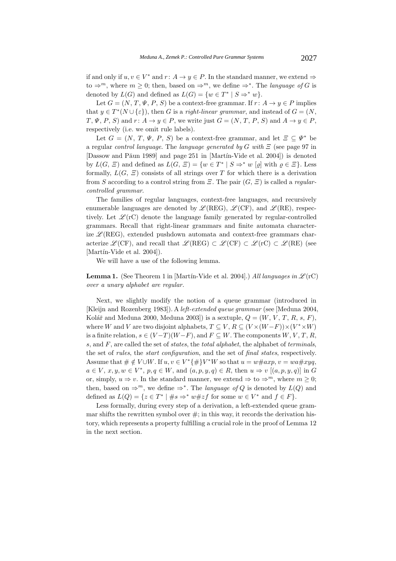if and only if  $u, v \in V^*$  and  $r: A \to y \in P$ . In the standard manner, we extend  $\Rightarrow$ to  $\Rightarrow^m$ , where  $m > 0$ ; then, based on  $\Rightarrow^m$ , we define  $\Rightarrow^*$ . The *language of G* is denoted by  $L(G)$  and defined as  $L(G) = \{w \in T^* | S \Rightarrow^* w\}.$ 

Let  $G = (N, T, \Psi, P, S)$  be a context-free grammar. If  $r: A \rightarrow y \in P$  implies that  $y \in T^*(N \cup \{\varepsilon\})$ , then G is a *right-linear grammar*, and instead of  $G = (N,$  $T, \Psi, P, S$  and  $r: A \rightarrow y \in P$ , we write just  $G = (N, T, P, S)$  and  $A \rightarrow y \in P$ , respectively (i.e. we omit rule labels).

Let  $G = (N, T, \Psi, P, S)$  be a context-free grammar, and let  $\Xi \subseteq \Psi^*$  be a regular *control language*. The *language generated by* G *with* Ξ (see page 97 in [Dassow and Păun 1989] and page 251 in [Martín-Vide et al. 2004]) is denoted by  $L(G, \Xi)$  and defined as  $L(G, \Xi) = \{w \in T^* \mid S \Rightarrow^* w \mid \rho \mid \text{with } \rho \in \Xi \}.$  Less formally,  $L(G, \Xi)$  consists of all strings over T for which there is a derivation from S according to a control string from Ξ. The pair (G, Ξ) is called a *regularcontrolled grammar*.

The families of regular languages, context-free languages, and recursively enumerable languages are denoted by  $\mathscr{L}(REG)$ ,  $\mathscr{L}(CF)$ , and  $\mathscr{L}(RE)$ , respectively. Let  $\mathscr{L}(\mathbf{r}C)$  denote the language family generated by regular-controlled grammars. Recall that right-linear grammars and finite automata characterize  $\mathscr{L}(\text{REG})$ , extended pushdown automata and context-free grammars characterize  $\mathscr{L}(CF)$ , and recall that  $\mathscr{L}(REG) \subset \mathscr{L}(CF) \subset \mathscr{L}(rC) \subset \mathscr{L}(RE)$  (see  $[Martin-Video et al. 2004]).$ 

We will have a use of the following lemma.

**Lemma 1.** (See Theorem 1 in [Martín-Vide et al. 2004].) *All languages in*  $\mathscr{L}(\mathbf{r}C)$ *over a unary alphabet are regular.*

Next, we slightly modify the notion of a queue grammar (introduced in [Kleijn and Rozenberg 1983]). A *left-extended queue grammar* (see [Meduna 2004, Kolář and Meduna 2000, Meduna 2003]) is a sextuple,  $Q = (W, V, T, R, s, F)$ , where W and V are two disjoint alphabets,  $T \subseteq V$ ,  $R \subseteq (V \times (W - F)) \times (V^* \times W)$ is a finite relation,  $s \in (V-T)(W-F)$ , and  $F \subseteq W$ . The components  $W, V, T, R$ , s, and F, are called the set of *states*, the *total alphabet*, the alphabet of *terminals*, the set of *rules*, the *start configuration*, and the set of *final states*, respectively. Assume that  $\#\notin V\cup W$ . If  $u, v \in V^*\{\#\}V^*W$  so that  $u = w\#axp$ ,  $v = wa\#xyq$ ,  $a \in V, x, y, w \in V^*, p, q \in W$ , and  $(a, p, y, q) \in R$ , then  $u \Rightarrow v$   $[(a, p, y, q)]$  in G or, simply,  $u \Rightarrow v$ . In the standard manner, we extend  $\Rightarrow$  to  $\Rightarrow^m$ , where  $m \geq 0$ ; then, based on  $\Rightarrow^m$ , we define  $\Rightarrow^*$ . The *language of* Q is denoted by  $L(Q)$  and defined as  $L(Q) = \{z \in T^* \mid \#s \Rightarrow^* w \# zf \text{ for some } w \in V^* \text{ and } f \in F\}.$ 

Less formally, during every step of a derivation, a left-extended queue grammar shifts the rewritten symbol over  $\#$ ; in this way, it records the derivation history, which represents a property fulfilling a crucial role in the proof of Lemma 12 in the next section.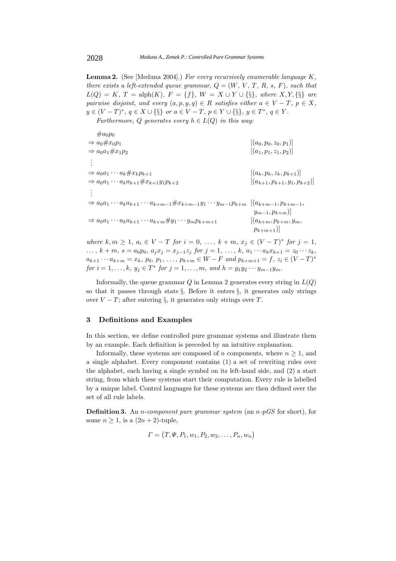**Lemma 2.** (See [Meduna 2004].) *For every recursively enumerable language* K*, there exists a left-extended queue grammar,*  $Q = (W, V, T, R, s, F)$ *, such that*  $L(Q) = K$ ,  $T = \text{alph}(K)$ ,  $F = \{f\}$ ,  $W = X \cup Y \cup \{\S\}$ , where  $X, Y, \{\S\}$  are *pairwise disjoint, and every*  $(a, p, y, q) \in R$  *satisfies either*  $a \in V - T$ ,  $p \in X$ ,  $y \in (V - T)^*$ *,*  $q \in X \cup \{\S\}$  *or*  $a \in V - T$ *,*  $p \in Y \cup \{\S\}$ *,*  $y \in T^*$ *,*  $q \in Y$ *.* 

*Furthermore,* Q generates every  $h \in L(Q)$  *in this way:* 

| $\#a_0p_0$                                                                                                                  |                                         |
|-----------------------------------------------------------------------------------------------------------------------------|-----------------------------------------|
| $\Rightarrow a_0 \# x_0 p_1$                                                                                                | $[(a_0, p_0, z_0, p_1)]$                |
| $\Rightarrow a_0a_1 \# x_1p_2$                                                                                              | $[(a_1, p_1, z_1, p_2)]$                |
|                                                                                                                             |                                         |
| $\Rightarrow a_0 a_1 \cdots a_k \# x_k p_{k+1}$                                                                             | $[(a_k, p_k, z_k, p_{k+1})]$            |
| $\Rightarrow a_0a_1\cdots a_ka_{k+1}\#x_{k+1}y_1p_{k+2}$                                                                    | $[(a_{k+1}, p_{k+1}, y_1, p_{k+2})]$    |
|                                                                                                                             |                                         |
| $\Rightarrow a_0 a_1 \cdots a_k a_{k+1} \cdots a_{k+m-1} \# x_{k+m-1} y_1 \cdots y_{m-1} p_{k+m}$ $[(a_{k+m-1}, p_{k+m-1},$ |                                         |
|                                                                                                                             | $y_{m-1}, p_{k+m}$ )                    |
| $\Rightarrow a_0 a_1 \cdots a_k a_{k+1} \cdots a_{k+m} \# y_1 \cdots y_m p_{k+m+1}$                                         | $[(a_{k+m}, p_{k+m}, y_m,$              |
|                                                                                                                             | $p_{k+m+1}$ )                           |
| where $k, m > 1$ $a_i \in V - T$ for $i = 0$                                                                                | $k + m$ $r_i \in (V - T)^*$ for $i = 1$ |

*where*  $k, m \geq 1, a_i \in V - T$  *for*  $i = 0, ..., k + m, x_j \in (V - T)^*$  *for j* ...,  $k + m$ ,  $s = a_0 p_0$ ,  $a_j x_j = x_{j-1} z_j$  *for*  $j = 1, ..., k$ ,  $a_1 \cdots a_k x_{k+1} = z_0 \cdots z_k$ ,  $a_{k+1} \cdots a_{k+m} = x_k$ ,  $p_0, p_1, \ldots, p_{k+m} \in W - F$  and  $p_{k+m+1} = f$ ,  $z_i \in (V - T)^*$ *for*  $i = 1, ..., k$ *,*  $y_j \in T^*$  *for*  $j = 1, ..., m$ *, and*  $h = y_1 y_2 \cdots y_{m-1} y_m$ *.* 

Informally, the queue grammar  $Q$  in Lemma 2 generates every string in  $L(Q)$ so that it passes through state  $\S$ . Before it enters  $\S$ , it generates only strings over  $V - T$ ; after entering §, it generates only strings over T.

# **3 Definitions and Examples**

In this section, we define controlled pure grammar systems and illustrate them by an example. Each definition is preceded by an intuitive explanation.

Informally, these systems are composed of n components, where  $n \geq 1$ , and a single alphabet. Every component contains (1) a set of rewriting rules over the alphabet, each having a single symbol on its left-hand side, and (2) a start string, from which these systems start their computation. Every rule is labelled by a unique label. Control languages for these systems are then defined over the set of all rule labels.

**Definition 3.** An n*-component pure grammar system* (an n*-pGS* for short), for some  $n \geq 1$ , is a  $(2n + 2)$ -tuple,

$$
\Gamma = (T, \Psi, P_1, w_1, P_2, w_2, \dots, P_n, w_n)
$$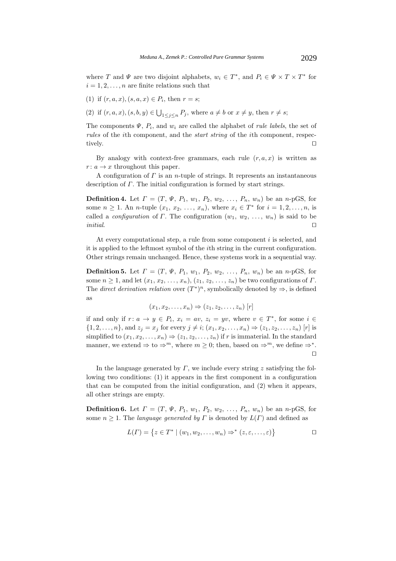where T and  $\Psi$  are two disjoint alphabets,  $w_i \in T^*$ , and  $P_i \in \Psi \times T \times T^*$  for  $i = 1, 2, \ldots, n$  are finite relations such that

- (1) if  $(r, a, x)$ ,  $(s, a, x) \in P_i$ , then  $r = s$ ;
- (2) if  $(r, a, x), (s, b, y) \in \bigcup_{1 \leq j \leq n} P_j$ , where  $a \neq b$  or  $x \neq y$ , then  $r \neq s$ ;

The components  $\Psi$ ,  $P_i$ , and  $w_i$  are called the alphabet of *rule labels*, the set of *rules* of the *i*th component, and the *start string* of the *i*th component, respectively. tively.

By analogy with context-free grammars, each rule  $(r, a, x)$  is written as  $r: a \rightarrow x$  throughout this paper.

A configuration of  $\Gamma$  is an *n*-tuple of strings. It represents an instantaneous description of Γ. The initial configuration is formed by start strings.

**Definition 4.** Let  $\Gamma = (T, \Psi, P_1, w_1, P_2, w_2, \ldots, P_n, w_n)$  be an *n*-pGS, for some  $n \ge 1$ . An *n*-tuple  $(x_1, x_2, ..., x_n)$ , where  $x_i \in T^*$  for  $i = 1, 2, ..., n$ , is called a *configuration* of  $\Gamma$ . The configuration  $(w_1, w_2, \ldots, w_n)$  is said to be *initial*. *initial*.

At every computational step, a rule from some component  $i$  is selected, and it is applied to the leftmost symbol of the ith string in the current configuration. Other strings remain unchanged. Hence, these systems work in a sequential way.

**Definition 5.** Let  $\Gamma = (T, \Psi, P_1, w_1, P_2, w_2, \ldots, P_n, w_n)$  be an *n*-pGS, for some  $n \geq 1$ , and let  $(x_1, x_2, \ldots, x_n)$ ,  $(z_1, z_2, \ldots, z_n)$  be two configurations of  $\Gamma$ . The *direct derivation relation* over  $(T^*)^n$ , symbolically denoted by  $\Rightarrow$ , is defined as

$$
(x_1, x_2, \ldots, x_n) \Rightarrow (z_1, z_2, \ldots, z_n) [r]
$$

if and only if  $r: a \to y \in P_i$ ,  $x_i = av$ ,  $z_i = yv$ , where  $v \in T^*$ , for some  $i \in$  $\{1, 2, ..., n\}$ , and  $z_i = x_i$  for every  $j \neq i$ ;  $(x_1, x_2, ..., x_n) \Rightarrow (z_1, z_2, ..., z_n)$  [r] is simplified to  $(x_1, x_2,...,x_n) \Rightarrow (z_1, z_2,...,z_n)$  if r is immaterial. In the standard manner, we extend  $\Rightarrow$  to  $\Rightarrow^m$ , where  $m \geq 0$ ; then, based on  $\Rightarrow^m$ , we define  $\Rightarrow^*$ .  $\Box$ 

In the language generated by  $\Gamma$ , we include every string z satisfying the following two conditions: (1) it appears in the first component in a configuration that can be computed from the initial configuration, and (2) when it appears, all other strings are empty.

**Definition 6.** Let  $\Gamma = (T, \Psi, P_1, w_1, P_2, w_2, \ldots, P_n, w_n)$  be an *n*-pGS, for some  $n \geq 1$ . The *language generated by*  $\Gamma$  is denoted by  $L(\Gamma)$  and defined as

$$
L(\Gamma) = \{ z \in T^* \mid (w_1, w_2, \dots, w_n) \Rightarrow^* (z, \varepsilon, \dots, \varepsilon) \}
$$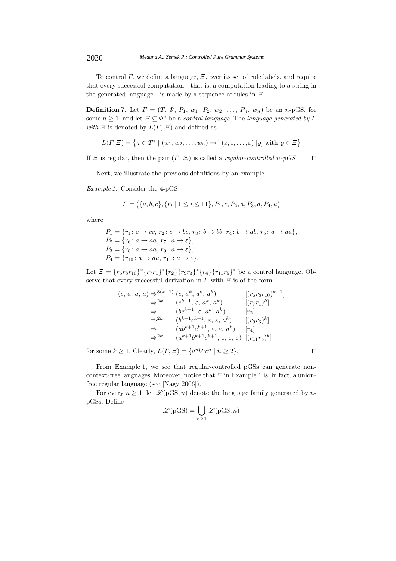To control  $\Gamma$ , we define a language,  $\Xi$ , over its set of rule labels, and require that every successful computation—that is, a computation leading to a string in the generated language—is made by a sequence of rules in  $\Xi$ .

**Definition 7.** Let  $\Gamma = (T, \Psi, P_1, w_1, P_2, w_2, \ldots, P_n, w_n)$  be an *n*-pGS, for some  $n \geq 1$ , and let  $\Xi \subseteq \Psi^*$  be a *control language*. The *language generated by*  $\Gamma$ *with*  $\Xi$  is denoted by  $L(\Gamma, \Xi)$  and defined as

$$
L(\Gamma, \Xi) = \{ z \in T^* \mid (w_1, w_2, \dots, w_n) \Rightarrow^* (z, \varepsilon, \dots, \varepsilon) [ \varrho ] \text{ with } \varrho \in \Xi \}
$$

If  $\Xi$  is regular, then the pair  $(\Gamma, \Xi)$  is called a *regular-controlled* n-pGS.  $\square$ 

Next, we illustrate the previous definitions by an example.

*Example 1.* Consider the 4-pGS

$$
\Gamma = (\{a, b, c\}, \{r_i \mid 1 \le i \le 11\}, P_1, c, P_2, a, P_3, a, P_4, a)
$$

where

$$
P_1 = \{r_1: c \to cc, r_2: c \to bc, r_3: b \to bb, r_4: b \to ab, r_5: a \to aa\},
$$
  
\n
$$
P_2 = \{r_6: a \to aa, r_7: a \to \varepsilon\},
$$
  
\n
$$
P_3 = \{r_8: a \to aa, r_9: a \to \varepsilon\},
$$
  
\n
$$
P_4 = \{r_{10}: a \to aa, r_{11}: a \to \varepsilon\}.
$$

Let  $\mathcal{E} = \{r_6r_8r_{10}\}^* \{r_7r_1\}^* \{r_2\} \{r_9r_3\}^* \{r_4\} \{r_{11}r_5\}^*$  be a control language. Observe that every successful derivation in  $\Gamma$  with  $\Xi$  is of the form

$$
(c, a, a, a) \Rightarrow^{3(k-1)} (c, a^k, a^k, a^k)
$$
  
\n
$$
\Rightarrow^{2k} (c^{k+1}, \varepsilon, a^k, a^k)
$$
  
\n
$$
\Rightarrow (bc^{k+1}, \varepsilon, a^k, a^k)
$$
  
\n
$$
\Rightarrow^{2k} (b^{k+1}c^{k+1}, \varepsilon, \varepsilon, a^k)
$$
  
\n
$$
\Rightarrow^{2k} (b^{k+1}c^{k+1}, \varepsilon, \varepsilon, a^k)
$$
  
\n
$$
\Rightarrow (ab^{k+1}c^{k+1}, \varepsilon, \varepsilon, a^k)
$$
  
\n
$$
\Rightarrow^{2k} (a^{k+1}b^{k+1}c^{k+1}, \varepsilon, \varepsilon, \varepsilon)
$$
  
\n
$$
[r_1]
$$
  
\n
$$
\Rightarrow^{2k} (a^{k+1}b^{k+1}c^{k+1}, \varepsilon, \varepsilon, \varepsilon)
$$
  
\n
$$
[(r_1r_5)^k]
$$

for some  $k \geq 1$ . Clearly,  $L(\Gamma, \Xi) = \{a^n b^n c^n \mid n \geq 2\}$ .

From Example 1, we see that regular-controlled pGSs can generate noncontext-free languages. Moreover, notice that  $\Xi$  in Example 1 is, in fact, a unionfree regular language (see [Nagy 2006]).

For every  $n \geq 1$ , let  $\mathcal{L}(pGS, n)$  denote the language family generated by *n*pGSs. Define

$$
\mathcal{L}(pGS) = \bigcup_{n \ge 1} \mathcal{L}(pGS, n)
$$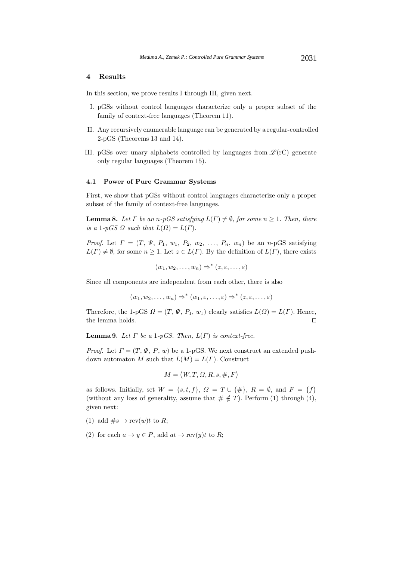# **4 Results**

In this section, we prove results I through III, given next.

- I. pGSs without control languages characterize only a proper subset of the family of context-free languages (Theorem 11).
- II. Any recursively enumerable language can be generated by a regular-controlled 2-pGS (Theorems 13 and 14).
- III. pGSs over unary alphabets controlled by languages from  $\mathscr{L}(\mathbf{r}C)$  generate only regular languages (Theorem 15).

#### **4.1 Power of Pure Grammar Systems**

First, we show that pGSs without control languages characterize only a proper subset of the family of context-free languages.

**Lemma 8.** Let  $\Gamma$  be an n-pGS satisfying  $L(\Gamma) \neq \emptyset$ , for some  $n \geq 1$ . Then, there *is a* 1*-pGS*  $\Omega$  *such that*  $L(\Omega) = L(\Gamma)$ *.* 

*Proof.* Let  $\Gamma = (T, \Psi, P_1, w_1, P_2, w_2, \ldots, P_n, w_n)$  be an n-pGS satisfying  $L(\Gamma) \neq \emptyset$ , for some  $n \geq 1$ . Let  $z \in L(\Gamma)$ . By the definition of  $L(\Gamma)$ , there exists

$$
(w_1, w_2, \ldots, w_n) \Rightarrow^* (z, \varepsilon, \ldots, \varepsilon)
$$

Since all components are independent from each other, there is also

$$
(w_1, w_2, \ldots, w_n) \Rightarrow^* (w_1, \varepsilon, \ldots, \varepsilon) \Rightarrow^* (z, \varepsilon, \ldots, \varepsilon)
$$

Therefore, the 1-pGS  $\Omega = (T, \Psi, P_1, w_1)$  clearly satisfies  $L(\Omega) = L(\Gamma)$ . Hence, the lemma holds. the lemma holds.

**Lemma 9.** *Let*  $\Gamma$  *be a* 1*-pGS. Then,*  $L(\Gamma)$  *is context-free.* 

*Proof.* Let  $\Gamma = (T, \Psi, P, w)$  be a 1-pGS. We next construct an extended pushdown automaton M such that  $L(M) = L(\Gamma)$ . Construct

$$
M = (W, T, \Omega, R, s, \#, F)
$$

as follows. Initially, set  $W = \{s, t, f\}, \Omega = T \cup \{\#\}, R = \emptyset, \text{ and } F = \{f\}$ (without any loss of generality, assume that  $\# \notin T$ ). Perform (1) through (4), given next:

- (1) add  $\#s \to \text{rev}(w)t$  to R;
- (2) for each  $a \to y \in P$ , add  $at \to \text{rev}(y)t$  to R;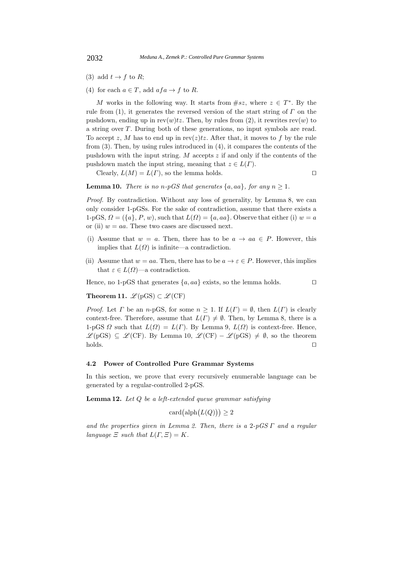- (3) add  $t \to f$  to R;
- (4) for each  $a \in T$ , add  $afa \to f$  to R.

M works in the following way. It starts from  $\#sz$ , where  $z \in T^*$ . By the rule from (1), it generates the reversed version of the start string of  $\Gamma$  on the pushdown, ending up in  $rev(w)tz$ . Then, by rules from (2), it rewrites  $rev(w)$  to a string over T . During both of these generations, no input symbols are read. To accept z, M has to end up in  $rev(z)tz$ . After that, it moves to f by the rule from (3). Then, by using rules introduced in (4), it compares the contents of the pushdown with the input string. M accepts  $z$  if and only if the contents of the pushdown match the input string, meaning that  $z \in L(\Gamma)$ .

Clearly,  $L(M) = L(\Gamma)$ , so the lemma holds.

**Lemma 10.** *There is no*  $n-pGS$  *that generates*  $\{a, aa\}$ *, for any*  $n \geq 1$ *.* 

*Proof.* By contradiction. Without any loss of generality, by Lemma 8, we can only consider 1-pGSs. For the sake of contradiction, assume that there exists a 1-pGS,  $\Omega = (\{a\}, P, w)$ , such that  $L(\Omega) = \{a, aa\}$ . Observe that either (i)  $w = a$ or (ii)  $w = aa$ . These two cases are discussed next.

- (i) Assume that  $w = a$ . Then, there has to be  $a \to aa \in P$ . However, this implies that  $L(\Omega)$  is infinite—a contradiction.
- (ii) Assume that  $w = aa$ . Then, there has to be  $a \to \varepsilon \in P$ . However, this implies that  $\varepsilon \in L(\Omega)$ —a contradiction.

Hence, no 1-pGS that generates  $\{a, aa\}$  exists, so the lemma holds.  $\square$ 

**Theorem 11.**  $\mathscr{L}(pGS) \subset \mathscr{L}(CF)$ 

*Proof.* Let  $\Gamma$  be an n-pGS, for some  $n \geq 1$ . If  $L(\Gamma) = \emptyset$ , then  $L(\Gamma)$  is clearly context-free. Therefore, assume that  $L(\Gamma) \neq \emptyset$ . Then, by Lemma 8, there is a 1-pGS  $\Omega$  such that  $L(\Omega) = L(\Gamma)$ . By Lemma 9,  $L(\Omega)$  is context-free. Hence, *L*(pGS)  $\subseteq$  *L*(CF). By Lemma 10, *L*(CF) – *L*(pGS)  $\neq$  Ø, so the theorem holds.

#### **4.2 Power of Controlled Pure Grammar Systems**

In this section, we prove that every recursively enumerable language can be generated by a regular-controlled 2-pGS.

**Lemma 12.** *Let* Q *be a left-extended queue grammar satisfying*

$$
card\big(\text{alph}\big(L(Q)\big)\big) \ge 2
$$

*and the properties given in Lemma 2. Then, there is a* <sup>2</sup>*-pGS* Γ *and a regular language*  $\Xi$  *such that*  $L(\Gamma, \Xi) = K$ .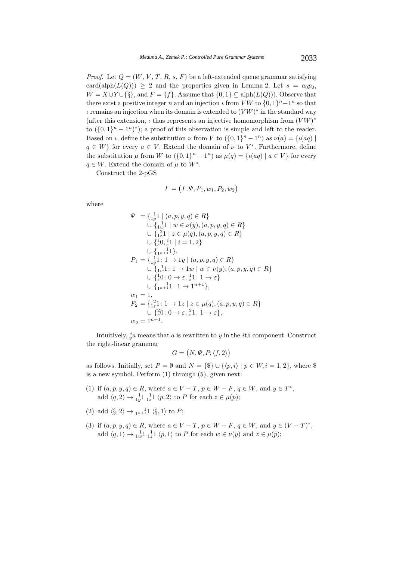*Proof.* Let  $Q = (W, V, T, R, s, F)$  be a left-extended queue grammar satisfying card(alph( $L(Q)$ )) > 2 and the properties given in Lemma 2. Let  $s = a_0 p_0$ ,  $W = X \cup Y \cup {\{\}\},\$  and  $F = \{f\}.$  Assume that  $\{0,1\} \subseteq \text{alph}(L(Q))$ . Observe that there exist a positive integer n and an injection  $\iota$  from VW to  $\{0, 1\}^n - 1^n$  so that  $\iota$  remains an injection when its domain is extended to  $(VW)^*$  in the standard way (after this extension,  $\iota$  thus represents an injective homomorphism from  $(VW)^*$ to  $({0, 1}^n - 1^n)^*$ ; a proof of this observation is simple and left to the reader. Based on  $\iota$ , define the substitution  $\nu$  from V to  $({0, 1}^n - 1^n)$  as  $\nu(a) = {\iota(aq)}$  $q \in W$  for every  $a \in V$ . Extend the domain of  $\nu$  to  $V^*$ . Furthermore, define the substitution  $\mu$  from W to  $({0, 1}^n - 1^n)$  as  $\mu(q) = {\iota(aq) | a \in V}$  for every  $q \in W$ . Extend the domain of  $\mu$  to  $W^*$ .

Construct the 2-pGS

$$
\Gamma = (T, \Psi, P_1, w_1, P_2, w_2)
$$

where

$$
\Psi = \left\{ \begin{matrix} 1 \\ 1 \end{matrix} \right\} | (a, p, y, q) \in R \}
$$
\n
$$
\cup \left\{ \begin{matrix} 1 \\ 1 \end{matrix} \right\} | w \in \nu(y), (a, p, y, q) \in R \}
$$
\n
$$
\cup \left\{ \begin{matrix} 2 \\ 1 \end{matrix} \right\} | z \in \mu(q), (a, p, y, q) \in R \}
$$
\n
$$
\cup \left\{ \begin{matrix} i \\ 0 \end{matrix} \right\} | i = 1, 2 \}
$$
\n
$$
\cup \left\{ \begin{matrix} 1 \\ 1 \end{matrix} | 1 \right\} | 1 - 1 \right\} | (a, p, y, q) \in R \}
$$
\n
$$
\cup \left\{ \begin{matrix} 1 \\ 1 \end{matrix} | 1 \right\} | 1 - 1 \cup \{ w \in \nu(y), (a, p, y, q) \in R \}
$$
\n
$$
\cup \left\{ \begin{matrix} 1 \\ 1 \end{matrix} | 1 \right\} | 1 - 1 \cup \{ w \in \nu(y), (a, p, y, q) \in R \}
$$
\n
$$
\cup \left\{ \begin{matrix} 1 \\ 0 \end{matrix} | 0 \right\} | 1 - 1 \rangle | 1 - 1 \rangle | 1 - 1 \rangle | 1 - 1 \rangle | 1 - 1 \rangle | 1 - 1 \rangle | 1 - 1 \rangle | 1 - 1 \rangle | 1 - 1 \rangle | 1 - 1 \rangle | 1 - 1 \rangle | 1 - 1 \rangle | 1 - 1 \rangle | 1 - 1 \rangle | 1 - 1 \rangle | 1 - 1 \rangle | 1 - 1 \rangle | 1 - 1 \rangle | 1 - 1 \rangle | 1 - 1 \rangle | 1 - 1 \rangle | 1 - 1 \rangle | 1 - 1 \rangle | 1 - 1 \rangle | 1 - 1 \rangle | 1 - 1 \rangle | 1 - 1 \rangle | 1 - 1 \rangle | 1 - 1 \rangle | 1 - 1 \rangle | 1 - 1 \rangle | 1 - 1 \rangle | 1 - 1 \rangle | 1 - 1 \rangle | 1 - 1 \rangle | 1 - 1 \rangle | 1 - 1 \rangle | 1 - 1 \rangle | 1 - 1 \rangle | 1 - 1 \rangle | 1 - 1 \rangle | 1 - 1 \rangle
$$

Intuitively,  $\dot{y}$  means that a is rewritten to y in the *i*th component. Construct the right-linear grammar

$$
G = (N, \Psi, P, \langle f, 2 \rangle)
$$

as follows. Initially, set  $P = \emptyset$  and  $N = \{\$\} \cup \{\langle p, i \rangle \mid p \in W, i = 1, 2\},\$  where  $\$$ is a new symbol. Perform (1) through (5), given next:

- (1) if  $(a, p, y, q) \in R$ , where  $a \in V T$ ,  $p \in W F$ ,  $q \in W$ , and  $y \in T^*$ , add  $\langle q, 2 \rangle \rightarrow 1_1^1 1_2^1 1_3^1 \langle p, 2 \rangle$  to P for each  $z \in \mu(p)$ ;
- (2) add  $\langle \S, 2 \rangle \to {}_{1^{n+1}}1 \langle \S, 1 \rangle$  to P;
- (3) if  $(a, p, y, q) \in R$ , where  $a \in V T$ ,  $p \in W F$ ,  $q \in W$ , and  $y \in (V T)^*$ , add  $\langle q, 1 \rangle \rightarrow \frac{1}{1} \nu 1 \frac{1}{1} \nu 1 \langle p, 1 \rangle$  to P for each  $w \in \nu(y)$  and  $z \in \mu(p)$ ;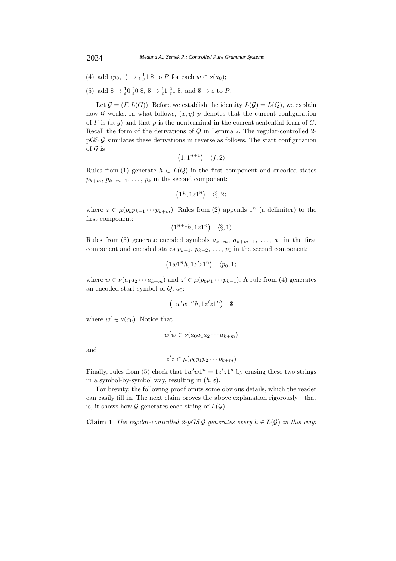- (4) add  $\langle p_0, 1 \rangle \rightarrow \frac{1}{1w} 1$  \$ to P for each  $w \in \nu(a_0)$ ;
- (5) add  $\$\rightarrow \frac{1}{\varepsilon} 0 \frac{2}{\varepsilon} 0 \frac{2}{\varepsilon}, \$\rightarrow \frac{1}{\varepsilon} 1 \frac{2}{\varepsilon} 1 \frac{2}{\varepsilon}, \text{ and } \$\rightarrow \varepsilon$ to P.$

Let  $\mathcal{G} = (\Gamma, L(G))$ . Before we establish the identity  $L(\mathcal{G}) = L(Q)$ , we explain how G works. In what follows,  $(x, y)$  p denotes that the current configuration of  $\Gamma$  is  $(x, y)$  and that p is the nonterminal in the current sentential form of  $G$ . Recall the form of the derivations of Q in Lemma 2. The regular-controlled 2  $pGS \mathcal{G}$  simulates these derivations in reverse as follows. The start configuration of  $\mathcal G$  is

$$
(1,1^{n+1}) \quad \langle f, 2 \rangle
$$

Rules from (1) generate  $h \in L(Q)$  in the first component and encoded states  $p_{k+m}, p_{k+m-1}, \ldots, p_k$  in the second component:

$$
(1h,1z1^n) \quad \langle \S,2 \rangle
$$

where  $z \in \mu(p_k p_{k+1} \cdots p_{k+m})$ . Rules from (2) appends  $1^n$  (a delimiter) to the first component:

 $(1^{n+1}h, 1z1^n)$   $\langle \S, 1 \rangle$ 

Rules from (3) generate encoded symbols  $a_{k+m}$ ,  $a_{k+m-1}$ , ...,  $a_1$  in the first component and encoded states  $p_{k-1}, p_{k-2}, \ldots, p_0$  in the second component:

$$
(1w1^n h, 1z'z1^n) \quad \langle p_0, 1 \rangle
$$

where  $w \in \nu(a_1a_2 \cdots a_{k+m})$  and  $z' \in \mu(p_0p_1 \cdots p_{k-1})$ . A rule from (4) generates an encoded start symbol of  $Q, a_0$ :

$$
(1w'w1^nh, 1z'z1^n) \quad \text{\$}
$$

where  $w' \in \nu(a_0)$ . Notice that

$$
w'w \in \nu(a_0a_1a_2\cdots a_{k+m})
$$

and

$$
z'z \in \mu(p_0p_1p_2\cdots p_{k+m})
$$

Finally, rules from (5) check that  $1w'w1^n = 1z'z1^n$  by erasing these two strings<br>in a symbol by symbol way resulting in (b, s) in a symbol-by-symbol way, resulting in  $(h, \varepsilon)$ .

For brevity, the following proof omits some obvious details, which the reader can easily fill in. The next claim proves the above explanation rigorously—that is, it shows how  $\mathcal G$  generates each string of  $L(\mathcal G)$ .

**Claim 1** *The regular-controlled 2-pGS G generates every*  $h \in L(G)$  *in this way:*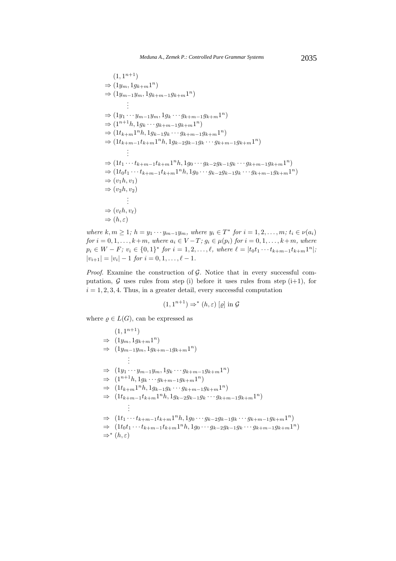$$
(1, 1^{n+1})
$$
  
\n⇒  $(1y_m, 1g_{k+m}1^n)$   
\n⇒  $(1y_{m-1}y_m, 1g_{k+m-1}g_{k+m}1^n)$   
\n $\vdots$   
\n⇒  $(1y_1 \cdots y_{m-1}y_m, 1g_k \cdots g_{k+m-1}g_{k+m}1^n)$   
\n⇒  $(1^{n+1}h, 1g_k \cdots g_{k+m-1}g_{k+m}1^n)$   
\n⇒  $(1t_{k+m}1^nh, 1g_{k-1}g_k \cdots g_{k+m-1}g_{k+m}1^n)$   
\n⇒  $(1t_{k+m-1}t_{k+m}1^nh, 1g_{k-2}g_{k-1}g_k \cdots g_{k+m-1}g_{k+m}1^n)$   
\n $\vdots$   
\n⇒  $(1t_1 \cdots t_{k+m-1}t_{k+m}1^nh, 1g_0 \cdots g_{k-2}g_{k-1}g_k \cdots g_{k+m-1}g_{k+m}1^n)$   
\n⇒  $(1t_0t_1 \cdots t_{k+m-1}t_{k+m}1^nh, 1g_0 \cdots g_{k-2}g_{k-1}g_k \cdots g_{k+m-1}g_{k+m}1^n)$   
\n⇒  $(v_1h, v_1)$   
\n⇒  $(v_2h, v_2)$   
\n $\vdots$   
\n⇒  $(v_\ell h, v_\ell)$   
\n⇒  $(h, \varepsilon)$ 

*where*  $k, m \geq 1$ ;  $h = y_1 \cdots y_{m-1}y_m$ , where  $y_i \in T^*$  *for*  $i = 1, 2, \ldots, m$ ;  $t_i \in \nu(a_i)$ <br>*for*  $i = 0, 1$ ,  $k + m$ , where  $a \in V$ ,  $T: a \in \nu(a_i)$  *for*  $i = 0, 1$ ,  $k + m$ , where *for*  $i = 0, 1, ..., k+m$ *, where*  $a_i \in V - T$ *;*  $g_i \in \mu(p_i)$  *for*  $i = 0, 1, ..., k+m$ *, where*  $p_i \in W - F$ ;  $v_i \in \{0,1\}^*$  *for*  $i = 1, 2, \ldots, \ell$ , where  $\ell = |t_0 t_1 \cdots t_{k+m-1} t_{k+m} 1^n|$ ;  $|v_{i+1}| = |v_i| - 1$  *for*  $i = 0, 1, \ldots, \ell - 1$ *.* 

*Proof.* Examine the construction of  $G$ . Notice that in every successful computation,  $G$  uses rules from step (i) before it uses rules from step (i+1), for  $i = 1, 2, 3, 4$ . Thus, in a greater detail, every successful computation

$$
(1,1^{n+1}) \Rightarrow^* (h,\varepsilon) [\varrho] \text{ in } \mathcal{G}
$$

where  $\varrho \in L(G)$ , can be expressed as

$$
(1, 1^{n+1})
$$
  
\n⇒  $(1y_m, 1g_{k+m}1^n)$   
\n⇒  $(1y_{m-1}y_m, 1g_{k+m-1}g_{k+m}1^n)$   
\n∴  
\n⇒  $(1y_1 \cdots y_{m-1}y_m, 1g_k \cdots g_{k+m-1}g_{k+m}1^n)$   
\n⇒  $(1^{n+1}h, 1g_k \cdots g_{k+m-1}g_{k+m}1^n)$   
\n⇒  $(1t_{k+m}1^nh, 1g_{k-1}g_k \cdots g_{k+m-1}g_{k+m}1^n)$   
\n⇒  $(1t_{k+m-1}t_{k+m}1^nh, 1g_{k-2}g_{k-1}g_k \cdots g_{k+m-1}g_{k+m}1^n)$   
\n∴  
\n⇒  $(1t_1 \cdots t_{k+m-1}t_{k+m}1^nh, 1g_0 \cdots g_{k-2}g_{k-1}g_k \cdots g_{k+m-1}g_{k+m}1^n)$   
\n⇒  $(1t_0t_1 \cdots t_{k+m-1}t_{k+m}1^nh, 1g_0 \cdots g_{k-2}g_{k-1}g_k \cdots g_{k+m-1}g_{k+m}1^n)$   
\n⇒  $(h, \varepsilon)$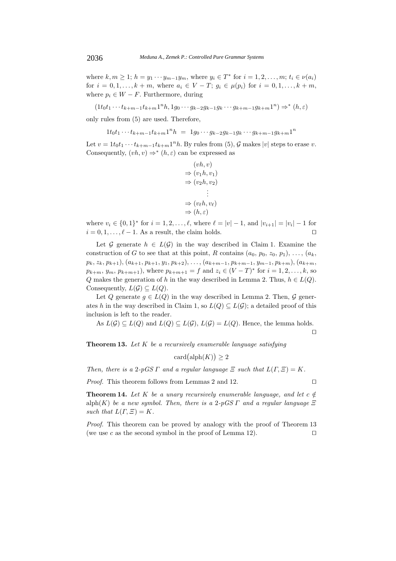where  $k, m \ge 1$ ;  $h = y_1 \cdots y_{m-1} y_m$ , where  $y_i \in T^*$  for  $i = 1, 2, ..., m$ ;  $t_i \in \nu(a_i)$ for  $i = 0, 1, ..., k + m$ , where  $a_i \in V - T$ ;  $g_i \in \mu(p_i)$  for  $i = 0, 1, ..., k + m$ , where  $p_i \in W - F$ . Furthermore, during

$$
(1t_0t_1\cdots t_{k+m-1}t_{k+m}1^nh,1g_0\cdots g_{k-2}g_{k-1}g_k\cdots g_{k+m-1}g_{k+m}1^n)\Rightarrow^*(h,\varepsilon)
$$

only rules from (5) are used. Therefore,

$$
1t_0t_1\cdots t_{k+m-1}t_{k+m}1^nh = 1g_0\cdots g_{k-2}g_{k-1}g_k\cdots g_{k+m-1}g_{k+m}1^n
$$

Let  $v = 1t_0t_1 \cdots t_{k+m-1}t_{k+m}1^n h$ . By rules from (5),  $\mathcal G$  makes |v| steps to erase v. Consequently,  $(vh, v) \Rightarrow^* (h, \varepsilon)$  can be expressed as

$$
(vh, v)
$$
  
\n
$$
\Rightarrow (v_1h, v_1)
$$
  
\n
$$
\Rightarrow (v_2h, v_2)
$$
  
\n
$$
\Rightarrow (v_\ell h, v_\ell)
$$
  
\n
$$
\Rightarrow (h, \varepsilon)
$$

where  $v_i \in \{0,1\}^*$  for  $i = 1, 2, \ldots, \ell$ , where  $\ell = |v| - 1$ , and  $|v_{i+1}| = |v_i| - 1$  for  $i = 0, 1, \ldots, \ell$ , and  $|v_{i+1}| = |v_i| - 1$  for  $i = 0, 1, \ldots, \ell - 1$ . As a result, the claim holds.

Let G generate  $h \in L(G)$  in the way described in Claim 1. Examine the construction of G to see that at this point, R contains  $(a_0, p_0, z_0, p_1), \ldots, (a_k,$  $p_k, z_k, p_{k+1}), (a_{k+1}, p_{k+1}, y_1, p_{k+2}), \ldots, (a_{k+m-1}, p_{k+m-1}, y_{m-1}, p_{k+m}), (a_{k+m},$  $p_{k+m}, y_m, p_{k+m+1}$ , where  $p_{k+m+1} = f$  and  $z_i \in (V-T)^*$  for  $i = 1, 2, ..., k$ , so Q makes the generation of h in the way described in Lemma 2. Thus,  $h \in L(Q)$ . Consequently,  $L(G) \subseteq L(Q)$ .

Let Q generate  $q \in L(Q)$  in the way described in Lemma 2. Then, G generates h in the way described in Claim 1, so  $L(Q) \subseteq L(G)$ ; a detailed proof of this inclusion is left to the reader.

As  $L(G) \subseteq L(Q)$  and  $L(Q) \subseteq L(G)$ ,  $L(G) = L(Q)$ . Hence, the lemma holds.

 $\Box$ 

**Theorem 13.** *Let* K *be a recursively enumerable language satisfying*

 $card(alph(K)) \geq 2$ 

*Then, there is a* 2*-pGS*  $\Gamma$  *and a regular language*  $\Xi$  *such that*  $L(\Gamma, \Xi) = K$ .

*Proof.* This theorem follows from Lemmas 2 and 12. □

**Theorem 14.** Let K be a unary recursively enumerable language, and let  $c \notin \mathbb{R}$ alph(K) *be a new symbol. Then, there is a* 2*-pGS*  $\Gamma$  *and a regular language*  $\Xi$ *such that*  $L(\Gamma, \Xi) = K$ .

*Proof.* This theorem can be proved by analogy with the proof of Theorem 13 (we use c as the second symbol in the proof of Lemma 12).  $\square$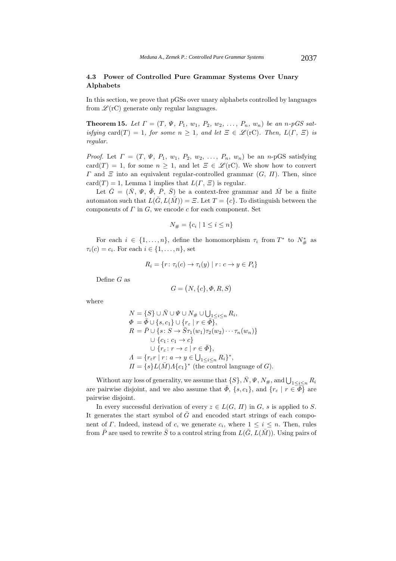# **4.3 Power of Controlled Pure Grammar Systems Over Unary Alphabets**

In this section, we prove that pGSs over unary alphabets controlled by languages from  $\mathscr{L}(\mathbf{r}C)$  generate only regular languages.

**Theorem 15.** Let  $\Gamma = (T, \Psi, P_1, w_1, P_2, w_2, \ldots, P_n, w_n)$  be an n-pGS sat*isfying* card(T) = 1*, for some*  $n \geq 1$ *, and let*  $\Xi \in \mathcal{L}(\mathrm{rC})$ *. Then,*  $L(\Gamma, \Xi)$  *is regular.*

*Proof.* Let  $\Gamma = (T, \Psi, P_1, w_1, P_2, w_2, \ldots, P_n, w_n)$  be an *n*-pGS satisfying card(T) = 1, for some  $n \geq 1$ , and let  $\Xi \in \mathscr{L}(\mathrm{rC})$ . We show how to convert  $\Gamma$  and  $\Xi$  into an equivalent regular-controlled grammar  $(G, \Pi)$ . Then, since card $(T) = 1$ , Lemma 1 implies that  $L(\Gamma, \Xi)$  is regular.

Let  $\bar{G} = (\bar{N}, \Psi, \bar{\Phi}, \bar{P}, \bar{S})$  be a context-free grammar and  $\bar{M}$  be a finite automaton such that  $L(\bar{G}, L(\bar{M})) = \Xi$ . Let  $T = \{c\}$ . To distinguish between the components of  $\Gamma$  in  $G$ , we encode  $c$  for each component. Set

$$
N_{\#} = \{c_i \mid 1 \leq i \leq n\}
$$

For each  $i \in \{1, ..., n\}$ , define the homomorphism  $\tau_i$  from  $T^*$  to  $N^*_{\#}$  as  $\tau_i(c) = c_i$ . For each  $i \in \{1, \ldots, n\}$ , set

$$
R_i = \{r \colon \tau_i(c) \to \tau_i(y) \mid r \colon c \to y \in P_i\}
$$

Define  $G$  as

$$
G = (N, \{c\}, \Phi, R, S)
$$

where

$$
N = \{S\} \cup \bar{N} \cup \Psi \cup N_{\#} \cup \bigcup_{1 \leq i \leq n} R_i,
$$
  
\n
$$
\Phi = \bar{\Phi} \cup \{s, c_1\} \cup \{r_{\varepsilon} \mid r \in \bar{\Phi}\},
$$
  
\n
$$
R = \bar{P} \cup \{s: S \to \bar{S}\tau_1(w_1)\tau_2(w_2) \cdots \tau_n(w_n)\}
$$
  
\n
$$
\cup \{c_1: c_1 \to c\}
$$
  
\n
$$
\cup \{r_{\varepsilon}: r \to \varepsilon \mid r \in \bar{\Phi}\},
$$
  
\n
$$
\Lambda = \{r_{\varepsilon}r \mid r: a \to y \in \bigcup_{1 \leq i \leq n} R_i\}^*,
$$
  
\n
$$
\Pi = \{s\}L(\bar{M})\Lambda\{c_1\}^*
$$
 (the control language of  $G$ ).

Without any loss of generality, we assume that  $\{S\}, \overline{N}, \Psi, N_{\#}$ , and  $\bigcup_{1 \leq i \leq n} R_i$ are pairwise disjoint, and we also assume that  $\bar{\Phi}$ ,  $\{s, c_1\}$ , and  $\{r_{\varepsilon} \mid r \in \bar{\Phi}\}\$  are pairwise disjoint.

In every successful derivation of every  $z \in L(G, \Pi)$  in G, s is applied to S. It generates the start symbol of  $\bar{G}$  and encoded start strings of each component of Γ. Indeed, instead of c, we generate  $c_i$ , where  $1 \leq i \leq n$ . Then, rules from  $\bar{P}$  are used to rewrite  $\bar{S}$  to a control string from  $L(\bar{G}, L(\bar{M}))$ . Using pairs of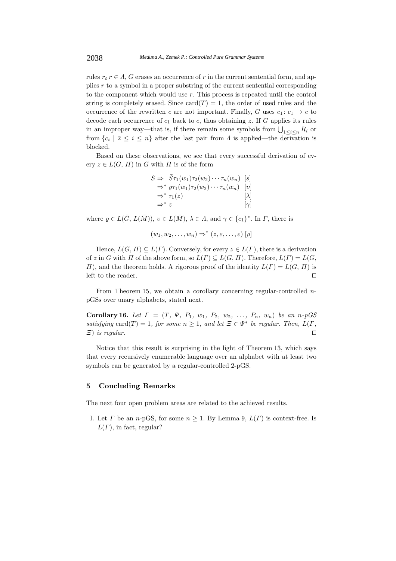rules  $r_{\varepsilon}$  r  $\in$  A, G erases an occurrence of r in the current sentential form, and applies r to a symbol in a proper substring of the current sentential corresponding to the component which would use  $r$ . This process is repeated until the control string is completely erased. Since  $card(T) = 1$ , the order of used rules and the occurrence of the rewritten c are not important. Finally, G uses  $c_1: c_1 \rightarrow c$  to decode each occurrence of  $c_1$  back to c, thus obtaining z. If G applies its rules in an improper way—that is, if there remain some symbols from  $\bigcup_{1 \leq i \leq n} R_i$  or<br>from  $\{e_i \mid 2 \leq i \leq n\}$  often the lect pair from 4 is applied, the degivation is from  ${c_i | 2 \leq i \leq n}$  after the last pair from  $\Lambda$  is applied—the derivation is blocked.

Based on these observations, we see that every successful derivation of every  $z \in L(G, \Pi)$  in G with  $\Pi$  is of the form

|                   | $S \Rightarrow S\tau_1(w_1)\tau_2(w_2)\cdots\tau_n(w_n)$ [s]       |             |
|-------------------|--------------------------------------------------------------------|-------------|
|                   | $\Rightarrow^* \varrho \tau_1(w_1) \tau_2(w_2) \cdots \tau_n(w_n)$ | v           |
|                   | $\Rightarrow^* \tau_1(z)$                                          | $ \lambda $ |
| $\Rightarrow^* z$ |                                                                    | $[\gamma]$  |
|                   |                                                                    |             |

where  $\rho \in L(\bar{G}, L(\bar{M})), v \in L(\bar{M}), \lambda \in \Lambda$ , and  $\gamma \in \{c_1\}^*$ . In  $\Gamma$ , there is

$$
(w_1, w_2, \ldots, w_n) \Rightarrow^* (z, \varepsilon, \ldots, \varepsilon) [\varrho]
$$

Hence,  $L(G, \Pi) \subseteq L(\Gamma)$ . Conversely, for every  $z \in L(\Gamma)$ , there is a derivation of z in G with  $\Pi$  of the above form, so  $L(\Gamma) \subseteq L(G, \Pi)$ . Therefore,  $L(\Gamma) = L(G, \Pi)$  $\Pi$ , and the theorem holds. A rigorous proof of the identity  $L(\Gamma) = L(G, \Pi)$  is left to the reader. left to the reader.

From Theorem 15, we obtain a corollary concerning regular-controlled npGSs over unary alphabets, stated next.

**Corollary 16.** *Let*  $\Gamma = (T, \Psi, P_1, w_1, P_2, w_2, \ldots, P_n, w_n)$  *be an n-pGS satisfying* card(*T*) = 1*, for some*  $n \ge 1$ *, and let*  $\Xi \in \Psi^*$  *be regular. Then,*  $L(\Gamma, \Xi)$  *is regular.* Ξ) *is regular.*

Notice that this result is surprising in the light of Theorem 13, which says that every recursively enumerable language over an alphabet with at least two symbols can be generated by a regular-controlled 2-pGS.

#### **5 Concluding Remarks**

The next four open problem areas are related to the achieved results.

I. Let  $\Gamma$  be an n-pGS, for some  $n \geq 1$ . By Lemma 9,  $L(\Gamma)$  is context-free. Is  $L(\Gamma)$ , in fact, regular?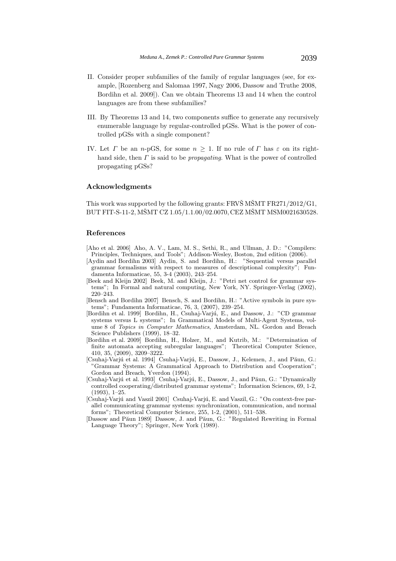- II. Consider proper subfamilies of the family of regular languages (see, for example, [Rozenberg and Salomaa 1997, Nagy 2006, Dassow and Truthe 2008, Bordihn et al. 2009]). Can we obtain Theorems 13 and 14 when the control languages are from these subfamilies?
- III. By Theorems 13 and 14, two components suffice to generate any recursively enumerable language by regular-controlled pGSs. What is the power of controlled pGSs with a single component?
- IV. Let T be an n-pGS, for some  $n \geq 1$ . If no rule of T has  $\varepsilon$  on its righthand side, then Γ is said to be *propagating*. What is the power of controlled propagating pGSs?

### **Acknowledgments**

This work was supported by the following grants: FRVS M $\widetilde{\text{S}}$ M $\widetilde{\text{S}}$ MT FR271/2012/G1, BUT FIT-S-11-2, MŠMT CZ 1.05/1.1.00/02.0070, CEZ MŠMT MSM0021630528.

#### **References**

- [Aho et al. 2006] Aho, A. V., Lam, M. S., Sethi, R., and Ullman, J. D.: "Compilers: Principles, Techniques, and Tools"; Addison-Wesley, Boston, 2nd edition (2006).
- [Aydin and Bordihn 2003] Aydin, S. and Bordihn, H.: "Sequential versus parallel grammar formalisms with respect to measures of descriptional complexity"; Fundamenta Informaticae, 55, 3-4 (2003), 243–254.
- [Beek and Kleijn 2002] Beek, M. and Kleijn, J.: "Petri net control for grammar systems"; In Formal and natural computing, New York, NY. Springer-Verlag (2002), 220–243.
- [Bensch and Bordihn 2007] Bensch, S. and Bordihn, H.: "Active symbols in pure systems"; Fundamenta Informaticae, 76, 3, (2007), 239–254.
- [Bordihn et al. 1999] Bordihn, H., Csuhaj-Varjú, E., and Dassow, J.: "CD grammar systems versus L systems"; In Grammatical Models of Multi-Agent Systems, volume 8 of *Topics in Computer Mathematics*, Amsterdam, NL. Gordon and Breach Science Publishers (1999), 18–32.
- [Bordihn et al. 2009] Bordihn, H., Holzer, M., and Kutrib, M.: "Determination of finite automata accepting subregular languages"; Theoretical Computer Science, 410, 35, (2009), 3209–3222.
- [Csuhaj-Varjú et al. 1994] Csuhaj-Varjú, E., Dassow, J., Kelemen, J., and Păun, G.: "Grammar Systems: A Grammatical Approach to Distribution and Cooperation"; Gordon and Breach, Yverdon (1994).
- [Csuhaj-Varjú et al. 1993] Csuhaj-Varjú, E., Dassow, J., and Păun, G.: "Dynamically controlled cooperating/distributed grammar systems"; Information Sciences, 69, 1-2,  $(1993)$ ,  $1-25$ .
- [Csuhaj-Varjú and Vaszil 2001] Csuhaj-Varjú, E. and Vaszil, G.: "On context-free parallel communicating grammar systems: synchronization, communication, and normal forms"; Theoretical Computer Science, 255, 1-2, (2001), 511–538.
- [Dassow and Păun 1989] Dassow, J. and Păun, G.: "Regulated Rewriting in Formal Language Theory"; Springer, New York (1989).